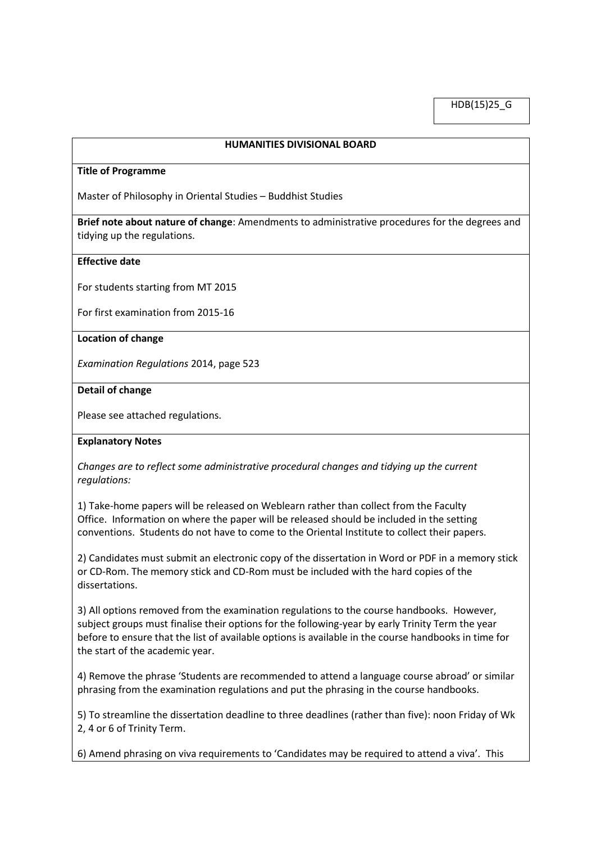HDB(15)25\_G

### **HUMANITIES DIVISIONAL BOARD**

#### **Title of Programme**

Master of Philosophy in Oriental Studies – Buddhist Studies

**Brief note about nature of change**: Amendments to administrative procedures for the degrees and tidying up the regulations.

### **Effective date**

For students starting from MT 2015

For first examination from 2015-16

#### **Location of change**

*Examination Regulations* 2014, page 523

### **Detail of change**

Please see attached regulations.

### **Explanatory Notes**

*Changes are to reflect some administrative procedural changes and tidying up the current regulations:*

1) Take-home papers will be released on Weblearn rather than collect from the Faculty Office. Information on where the paper will be released should be included in the setting conventions. Students do not have to come to the Oriental Institute to collect their papers.

2) Candidates must submit an electronic copy of the dissertation in Word or PDF in a memory stick or CD-Rom. The memory stick and CD-Rom must be included with the hard copies of the dissertations.

3) All options removed from the examination regulations to the course handbooks. However, subject groups must finalise their options for the following-year by early Trinity Term the year before to ensure that the list of available options is available in the course handbooks in time for the start of the academic year.

4) Remove the phrase 'Students are recommended to attend a language course abroad' or similar phrasing from the examination regulations and put the phrasing in the course handbooks.

5) To streamline the dissertation deadline to three deadlines (rather than five): noon Friday of Wk 2, 4 or 6 of Trinity Term.

6) Amend phrasing on viva requirements to 'Candidates may be required to attend a viva'. This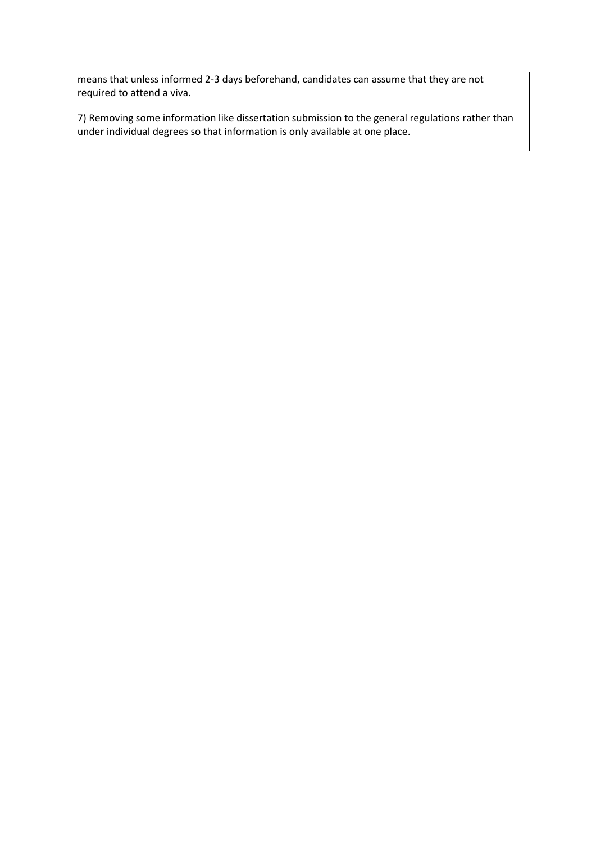means that unless informed 2-3 days beforehand, candidates can assume that they are not required to attend a viva.

7) Removing some information like dissertation submission to the general regulations rather than under individual degrees so that information is only available at one place.